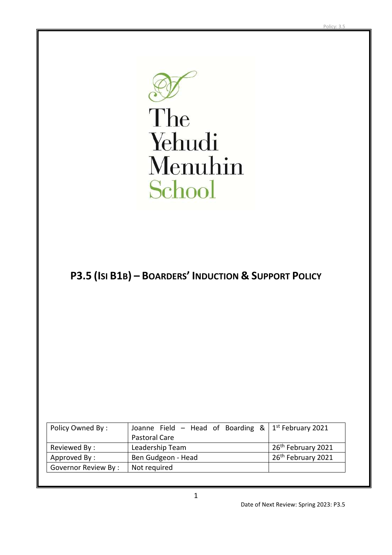The Yehudi Menuhin School

# **P3.5 (ISI B1B) – BOARDERS' INDUCTION & SUPPORT POLICY**

| Policy Owned By:    | Joanne Field – Head of Boarding $\&$   1 <sup>st</sup> February 2021 |                                |  |
|---------------------|----------------------------------------------------------------------|--------------------------------|--|
|                     | Pastoral Care                                                        |                                |  |
| Reviewed By:        | Leadership Team                                                      | 26 <sup>th</sup> February 2021 |  |
| Approved By:        | 26 <sup>th</sup> February 2021<br>Ben Gudgeon - Head                 |                                |  |
| Governor Review By: | Not required                                                         |                                |  |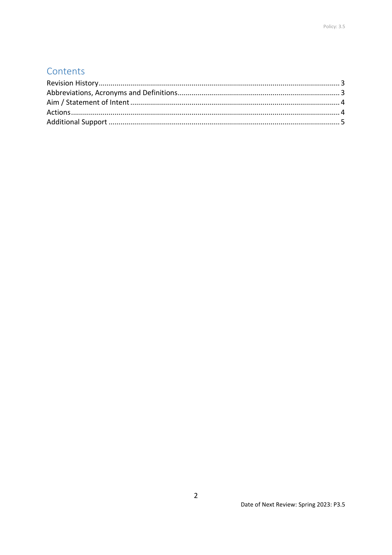## Contents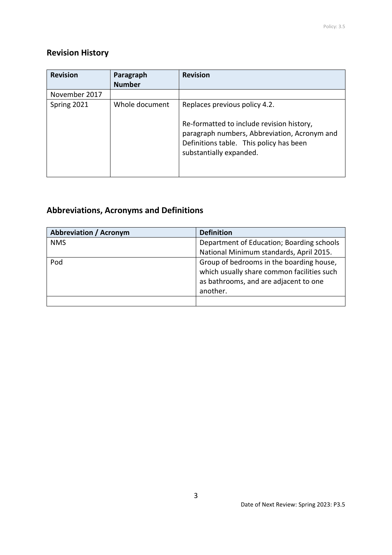### <span id="page-2-0"></span>**Revision History**

| <b>Revision</b> | Paragraph      | <b>Revision</b>                                                                                                                                                 |
|-----------------|----------------|-----------------------------------------------------------------------------------------------------------------------------------------------------------------|
|                 | <b>Number</b>  |                                                                                                                                                                 |
| November 2017   |                |                                                                                                                                                                 |
| Spring 2021     | Whole document | Replaces previous policy 4.2.                                                                                                                                   |
|                 |                | Re-formatted to include revision history,<br>paragraph numbers, Abbreviation, Acronym and<br>Definitions table. This policy has been<br>substantially expanded. |

### <span id="page-2-1"></span>**Abbreviations, Acronyms and Definitions**

| <b>Abbreviation / Acronym</b> | <b>Definition</b>                                                                                                                           |
|-------------------------------|---------------------------------------------------------------------------------------------------------------------------------------------|
| <b>NMS</b>                    | Department of Education; Boarding schools                                                                                                   |
|                               | National Minimum standards, April 2015.                                                                                                     |
| Pod                           | Group of bedrooms in the boarding house,<br>which usually share common facilities such<br>as bathrooms, and are adjacent to one<br>another. |
|                               |                                                                                                                                             |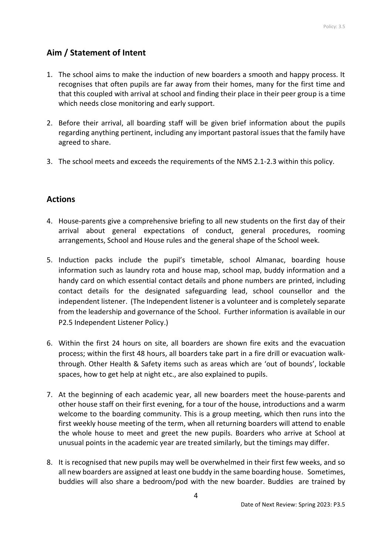### <span id="page-3-0"></span>**Aim / Statement of Intent**

- 1. The school aims to make the induction of new boarders a smooth and happy process. It recognises that often pupils are far away from their homes, many for the first time and that this coupled with arrival at school and finding their place in their peer group is a time which needs close monitoring and early support.
- 2. Before their arrival, all boarding staff will be given brief information about the pupils regarding anything pertinent, including any important pastoral issues that the family have agreed to share.
- 3. The school meets and exceeds the requirements of the NMS 2.1-2.3 within this policy.

#### <span id="page-3-1"></span>**Actions**

- 4. House-parents give a comprehensive briefing to all new students on the first day of their arrival about general expectations of conduct, general procedures, rooming arrangements, School and House rules and the general shape of the School week.
- 5. Induction packs include the pupil's timetable, school Almanac, boarding house information such as laundry rota and house map, school map, buddy information and a handy card on which essential contact details and phone numbers are printed, including contact details for the designated safeguarding lead, school counsellor and the independent listener. (The Independent listener is a volunteer and is completely separate from the leadership and governance of the School. Further information is available in our P2.5 Independent Listener Policy.)
- 6. Within the first 24 hours on site, all boarders are shown fire exits and the evacuation process; within the first 48 hours, all boarders take part in a fire drill or evacuation walkthrough. Other Health & Safety items such as areas which are 'out of bounds', lockable spaces, how to get help at night etc., are also explained to pupils.
- 7. At the beginning of each academic year, all new boarders meet the house-parents and other house staff on their first evening, for a tour of the house, introductions and a warm welcome to the boarding community. This is a group meeting, which then runs into the first weekly house meeting of the term, when all returning boarders will attend to enable the whole house to meet and greet the new pupils. Boarders who arrive at School at unusual points in the academic year are treated similarly, but the timings may differ.
- 8. It is recognised that new pupils may well be overwhelmed in their first few weeks, and so all new boarders are assigned at least one buddy in the same boarding house. Sometimes, buddies will also share a bedroom/pod with the new boarder. Buddies are trained by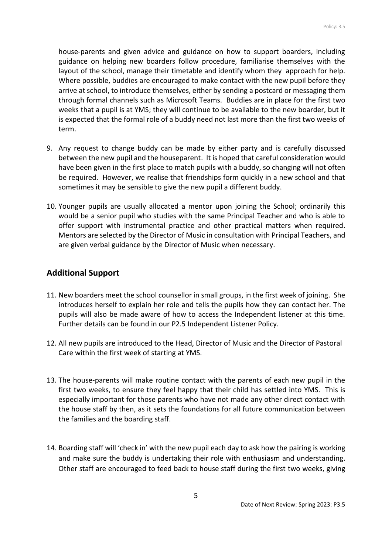house-parents and given advice and guidance on how to support boarders, including guidance on helping new boarders follow procedure, familiarise themselves with the layout of the school, manage their timetable and identify whom they approach for help. Where possible, buddies are encouraged to make contact with the new pupil before they arrive at school, to introduce themselves, either by sending a postcard or messaging them through formal channels such as Microsoft Teams. Buddies are in place for the first two weeks that a pupil is at YMS; they will continue to be available to the new boarder, but it is expected that the formal role of a buddy need not last more than the first two weeks of term.

- 9. Any request to change buddy can be made by either party and is carefully discussed between the new pupil and the houseparent. It is hoped that careful consideration would have been given in the first place to match pupils with a buddy, so changing will not often be required. However, we realise that friendships form quickly in a new school and that sometimes it may be sensible to give the new pupil a different buddy.
- 10. Younger pupils are usually allocated a mentor upon joining the School; ordinarily this would be a senior pupil who studies with the same Principal Teacher and who is able to offer support with instrumental practice and other practical matters when required. Mentors are selected by the Director of Music in consultation with Principal Teachers, and are given verbal guidance by the Director of Music when necessary.

#### <span id="page-4-0"></span>**Additional Support**

- 11. New boarders meet the school counsellor in small groups, in the first week of joining. She introduces herself to explain her role and tells the pupils how they can contact her. The pupils will also be made aware of how to access the Independent listener at this time. Further details can be found in our P2.5 Independent Listener Policy.
- 12. All new pupils are introduced to the Head, Director of Music and the Director of Pastoral Care within the first week of starting at YMS.
- 13. The house-parents will make routine contact with the parents of each new pupil in the first two weeks, to ensure they feel happy that their child has settled into YMS. This is especially important for those parents who have not made any other direct contact with the house staff by then, as it sets the foundations for all future communication between the families and the boarding staff.
- 14. Boarding staff will 'check in' with the new pupil each day to ask how the pairing is working and make sure the buddy is undertaking their role with enthusiasm and understanding. Other staff are encouraged to feed back to house staff during the first two weeks, giving